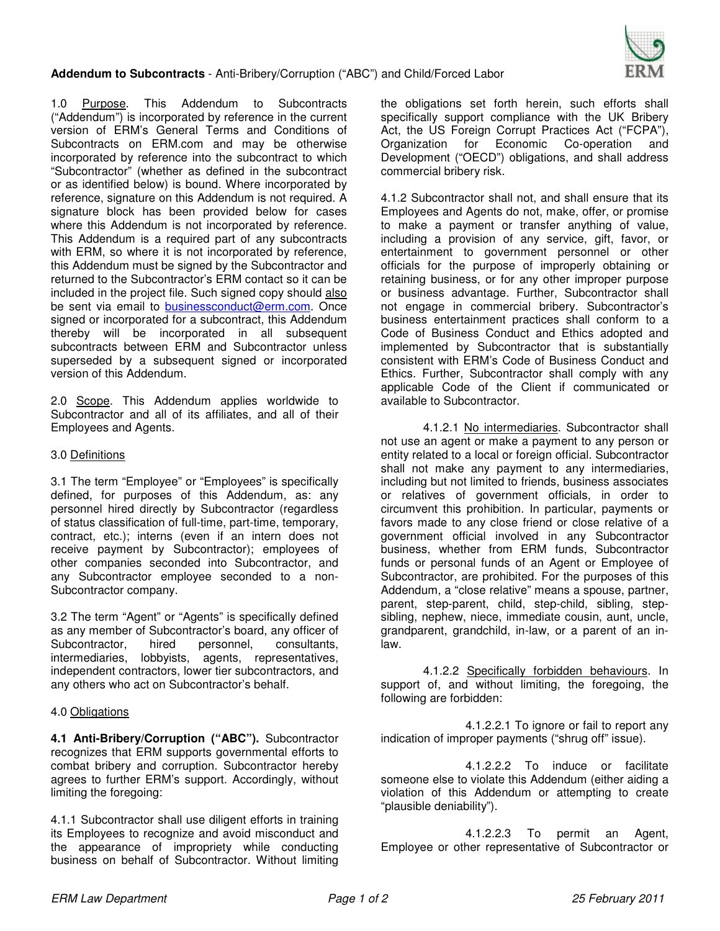

1.0 Purpose. This Addendum to Subcontracts ("Addendum") is incorporated by reference in the current version of ERM's General Terms and Conditions of Subcontracts on ERM.com and may be otherwise incorporated by reference into the subcontract to which "Subcontractor" (whether as defined in the subcontract or as identified below) is bound. Where incorporated by reference, signature on this Addendum is not required. A signature block has been provided below for cases where this Addendum is not incorporated by reference. This Addendum is a required part of any subcontracts with ERM, so where it is not incorporated by reference, this Addendum must be signed by the Subcontractor and returned to the Subcontractor's ERM contact so it can be included in the project file. Such signed copy should also be sent via email to businessconduct@erm.com. Once signed or incorporated for a subcontract, this Addendum thereby will be incorporated in all subsequent subcontracts between ERM and Subcontractor unless superseded by a subsequent signed or incorporated version of this Addendum.

2.0 Scope. This Addendum applies worldwide to Subcontractor and all of its affiliates, and all of their Employees and Agents.

## 3.0 Definitions

3.1 The term "Employee" or "Employees" is specifically defined, for purposes of this Addendum, as: any personnel hired directly by Subcontractor (regardless of status classification of full-time, part-time, temporary, contract, etc.); interns (even if an intern does not receive payment by Subcontractor); employees of other companies seconded into Subcontractor, and any Subcontractor employee seconded to a non-Subcontractor company.

3.2 The term "Agent" or "Agents" is specifically defined as any member of Subcontractor's board, any officer of Subcontractor, hired personnel, consultants, intermediaries, lobbyists, agents, representatives, independent contractors, lower tier subcontractors, and any others who act on Subcontractor's behalf.

## 4.0 Obligations

**4.1 Anti-Bribery/Corruption ("ABC").** Subcontractor recognizes that ERM supports governmental efforts to combat bribery and corruption. Subcontractor hereby agrees to further ERM's support. Accordingly, without limiting the foregoing:

4.1.1 Subcontractor shall use diligent efforts in training its Employees to recognize and avoid misconduct and the appearance of impropriety while conducting business on behalf of Subcontractor. Without limiting

the obligations set forth herein, such efforts shall specifically support compliance with the UK Bribery Act, the US Foreign Corrupt Practices Act ("FCPA"), Organization for Economic Co-operation and Development ("OECD") obligations, and shall address commercial bribery risk.

4.1.2 Subcontractor shall not, and shall ensure that its Employees and Agents do not, make, offer, or promise to make a payment or transfer anything of value, including a provision of any service, gift, favor, or entertainment to government personnel or other officials for the purpose of improperly obtaining or retaining business, or for any other improper purpose or business advantage. Further, Subcontractor shall not engage in commercial bribery. Subcontractor's business entertainment practices shall conform to a Code of Business Conduct and Ethics adopted and implemented by Subcontractor that is substantially consistent with ERM's Code of Business Conduct and Ethics. Further, Subcontractor shall comply with any applicable Code of the Client if communicated or available to Subcontractor.

 4.1.2.1 No intermediaries. Subcontractor shall not use an agent or make a payment to any person or entity related to a local or foreign official. Subcontractor shall not make any payment to any intermediaries, including but not limited to friends, business associates or relatives of government officials, in order to circumvent this prohibition. In particular, payments or favors made to any close friend or close relative of a government official involved in any Subcontractor business, whether from ERM funds, Subcontractor funds or personal funds of an Agent or Employee of Subcontractor, are prohibited. For the purposes of this Addendum, a "close relative" means a spouse, partner, parent, step-parent, child, step-child, sibling, stepsibling, nephew, niece, immediate cousin, aunt, uncle, grandparent, grandchild, in-law, or a parent of an inlaw.

 4.1.2.2 Specifically forbidden behaviours. In support of, and without limiting, the foregoing, the following are forbidden:

 4.1.2.2.1 To ignore or fail to report any indication of improper payments ("shrug off" issue).

 4.1.2.2.2 To induce or facilitate someone else to violate this Addendum (either aiding a violation of this Addendum or attempting to create "plausible deniability").

 4.1.2.2.3 To permit an Agent, Employee or other representative of Subcontractor or